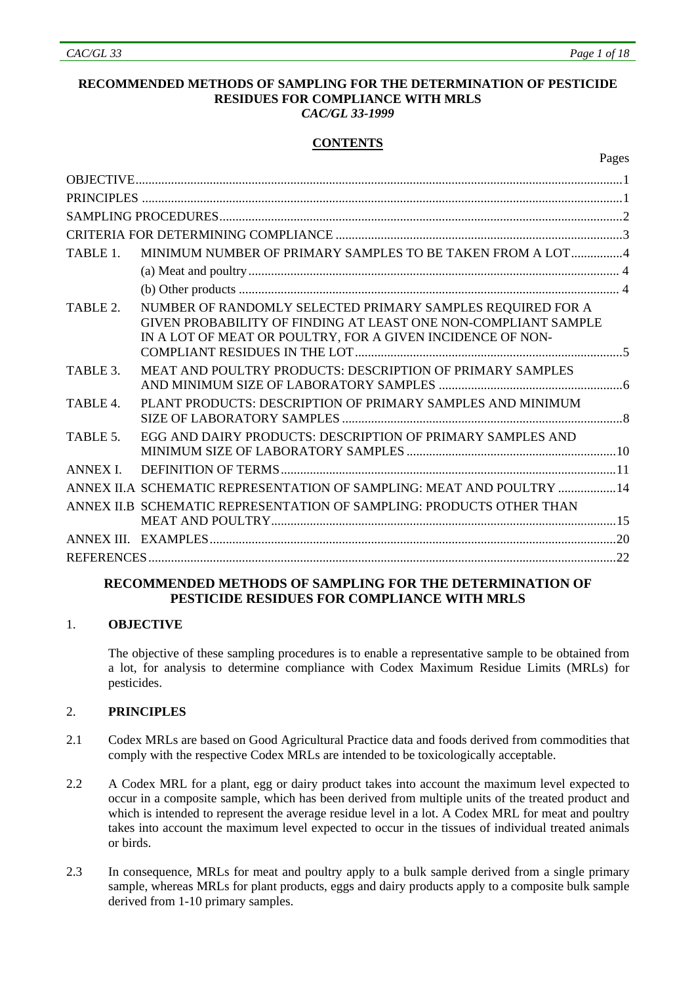#### **RECOMMENDED METHODS OF SAMPLING FOR THE DETERMINATION OF PESTICIDE RESIDUES FOR COMPLIANCE WITH MRLS**  *CAC/GL 33-1999*

# **CONTENTS**

|  | Pages |
|--|-------|
|--|-------|

| TABLE 1            | MINIMUM NUMBER OF PRIMARY SAMPLES TO BE TAKEN FROM A LOT4                                                                                                                                  |  |  |  |  |
|--------------------|--------------------------------------------------------------------------------------------------------------------------------------------------------------------------------------------|--|--|--|--|
|                    |                                                                                                                                                                                            |  |  |  |  |
|                    |                                                                                                                                                                                            |  |  |  |  |
| TABLE 2.           | NUMBER OF RANDOMLY SELECTED PRIMARY SAMPLES REQUIRED FOR A<br>GIVEN PROBABILITY OF FINDING AT LEAST ONE NON-COMPLIANT SAMPLE<br>IN A LOT OF MEAT OR POULTRY, FOR A GIVEN INCIDENCE OF NON- |  |  |  |  |
| TABLE 3.           | MEAT AND POULTRY PRODUCTS: DESCRIPTION OF PRIMARY SAMPLES                                                                                                                                  |  |  |  |  |
| TABLE 4.           | PLANT PRODUCTS: DESCRIPTION OF PRIMARY SAMPLES AND MINIMUM                                                                                                                                 |  |  |  |  |
| TABLE <sub>5</sub> | EGG AND DAIRY PRODUCTS: DESCRIPTION OF PRIMARY SAMPLES AND                                                                                                                                 |  |  |  |  |
| <b>ANNEX I</b>     |                                                                                                                                                                                            |  |  |  |  |
|                    | ANNEX II.A SCHEMATIC REPRESENTATION OF SAMPLING: MEAT AND POULTRY  14                                                                                                                      |  |  |  |  |
|                    | ANNEX II.B SCHEMATIC REPRESENTATION OF SAMPLING: PRODUCTS OTHER THAN                                                                                                                       |  |  |  |  |
|                    |                                                                                                                                                                                            |  |  |  |  |
|                    |                                                                                                                                                                                            |  |  |  |  |

# **RECOMMENDED METHODS OF SAMPLING FOR THE DETERMINATION OF PESTICIDE RESIDUES FOR COMPLIANCE WITH MRLS**

# 1. **OBJECTIVE**

The objective of these sampling procedures is to enable a representative sample to be obtained from a lot, for analysis to determine compliance with Codex Maximum Residue Limits (MRLs) for pesticides.

# 2. **PRINCIPLES**

- 2.1 Codex MRLs are based on Good Agricultural Practice data and foods derived from commodities that comply with the respective Codex MRLs are intended to be toxicologically acceptable.
- 2.2 A Codex MRL for a plant, egg or dairy product takes into account the maximum level expected to occur in a composite sample, which has been derived from multiple units of the treated product and which is intended to represent the average residue level in a lot. A Codex MRL for meat and poultry takes into account the maximum level expected to occur in the tissues of individual treated animals or birds.
- 2.3 In consequence, MRLs for meat and poultry apply to a bulk sample derived from a single primary sample, whereas MRLs for plant products, eggs and dairy products apply to a composite bulk sample derived from 1-10 primary samples.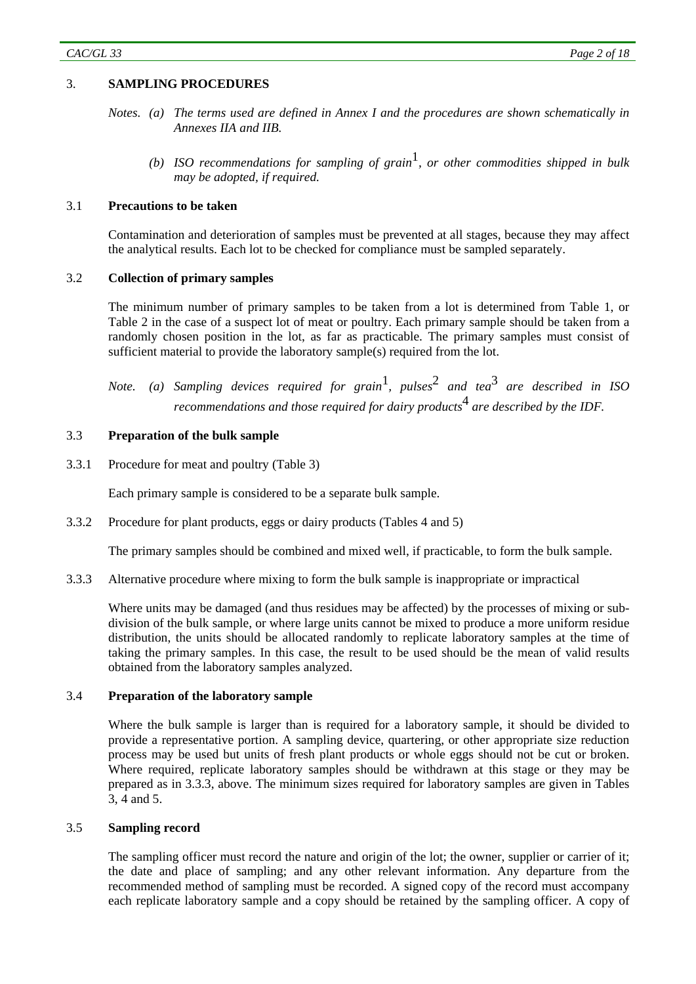# 3. **SAMPLING PROCEDURES**

- *Notes. (a) The terms used are defined in Annex I and the procedures are shown schematically in Annexes IIA and IIB.* 
	- *(b) ISO recommendations for sampling of grain*1*, or other commodities shipped in bulk may be adopted, if required.*

#### 3.1 **Precautions to be taken**

 Contamination and deterioration of samples must be prevented at all stages, because they may affect the analytical results. Each lot to be checked for compliance must be sampled separately.

#### 3.2 **Collection of primary samples**

 The minimum number of primary samples to be taken from a lot is determined from Table 1, or Table 2 in the case of a suspect lot of meat or poultry. Each primary sample should be taken from a randomly chosen position in the lot, as far as practicable. The primary samples must consist of sufficient material to provide the laboratory sample(s) required from the lot.

*Note. (a) Sampling devices required for grain*1*, pulses*2 *and tea*3 *are described in ISO recommendations and those required for dairy products*4 *are described by the IDF.* 

#### 3.3 **Preparation of the bulk sample**

3.3.1 Procedure for meat and poultry (Table 3)

Each primary sample is considered to be a separate bulk sample.

3.3.2 Procedure for plant products, eggs or dairy products (Tables 4 and 5)

The primary samples should be combined and mixed well, if practicable, to form the bulk sample.

3.3.3 Alternative procedure where mixing to form the bulk sample is inappropriate or impractical

 Where units may be damaged (and thus residues may be affected) by the processes of mixing or subdivision of the bulk sample, or where large units cannot be mixed to produce a more uniform residue distribution, the units should be allocated randomly to replicate laboratory samples at the time of taking the primary samples. In this case, the result to be used should be the mean of valid results obtained from the laboratory samples analyzed.

#### 3.4 **Preparation of the laboratory sample**

Where the bulk sample is larger than is required for a laboratory sample, it should be divided to provide a representative portion. A sampling device, quartering, or other appropriate size reduction process may be used but units of fresh plant products or whole eggs should not be cut or broken. Where required, replicate laboratory samples should be withdrawn at this stage or they may be prepared as in 3.3.3, above. The minimum sizes required for laboratory samples are given in Tables 3, 4 and 5.

# 3.5 **Sampling record**

 The sampling officer must record the nature and origin of the lot; the owner, supplier or carrier of it; the date and place of sampling; and any other relevant information. Any departure from the recommended method of sampling must be recorded. A signed copy of the record must accompany each replicate laboratory sample and a copy should be retained by the sampling officer. A copy of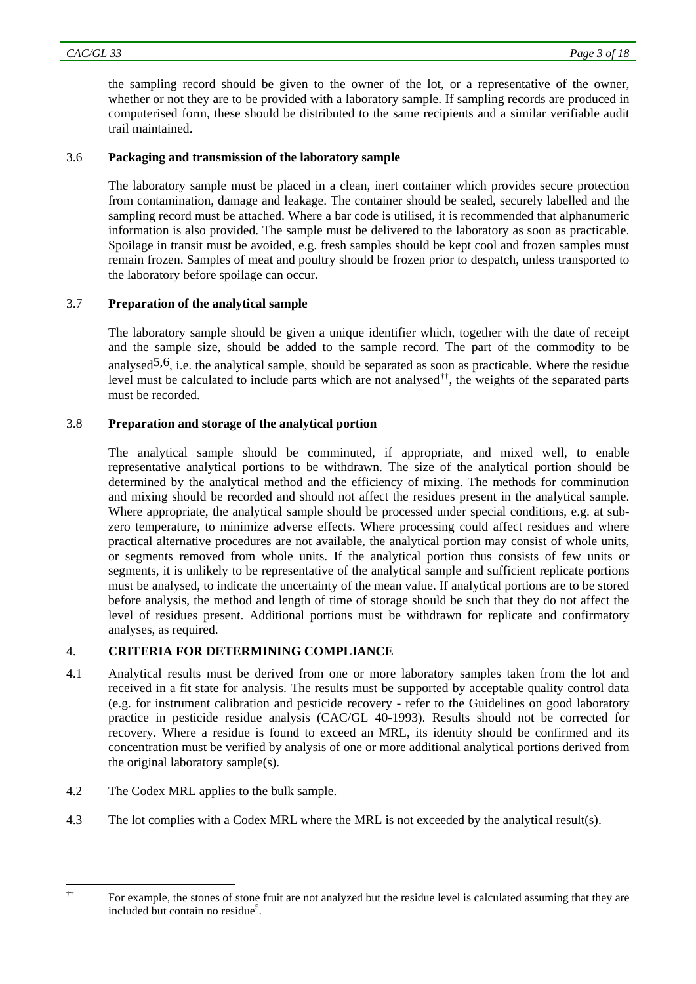the sampling record should be given to the owner of the lot, or a representative of the owner, whether or not they are to be provided with a laboratory sample. If sampling records are produced in computerised form, these should be distributed to the same recipients and a similar verifiable audit trail maintained.

# 3.6 **Packaging and transmission of the laboratory sample**

 The laboratory sample must be placed in a clean, inert container which provides secure protection from contamination, damage and leakage. The container should be sealed, securely labelled and the sampling record must be attached. Where a bar code is utilised, it is recommended that alphanumeric information is also provided. The sample must be delivered to the laboratory as soon as practicable. Spoilage in transit must be avoided, e.g. fresh samples should be kept cool and frozen samples must remain frozen. Samples of meat and poultry should be frozen prior to despatch, unless transported to the laboratory before spoilage can occur.

# 3.7 **Preparation of the analytical sample**

 The laboratory sample should be given a unique identifier which, together with the date of receipt and the sample size, should be added to the sample record. The part of the commodity to be analysed<sup>5,6</sup>, i.e. the analytical sample, should be separated as soon as practicable. Where the residue level must be calculated to include parts which are not analysed[††](#page-2-0), the weights of the separated parts must be recorded.

# 3.8 **Preparation and storage of the analytical portion**

 The analytical sample should be comminuted, if appropriate, and mixed well, to enable representative analytical portions to be withdrawn. The size of the analytical portion should be determined by the analytical method and the efficiency of mixing. The methods for comminution and mixing should be recorded and should not affect the residues present in the analytical sample. Where appropriate, the analytical sample should be processed under special conditions, e.g. at subzero temperature, to minimize adverse effects. Where processing could affect residues and where practical alternative procedures are not available, the analytical portion may consist of whole units, or segments removed from whole units. If the analytical portion thus consists of few units or segments, it is unlikely to be representative of the analytical sample and sufficient replicate portions must be analysed, to indicate the uncertainty of the mean value. If analytical portions are to be stored before analysis, the method and length of time of storage should be such that they do not affect the level of residues present. Additional portions must be withdrawn for replicate and confirmatory analyses, as required.

# 4. **CRITERIA FOR DETERMINING COMPLIANCE**

- 4.1 Analytical results must be derived from one or more laboratory samples taken from the lot and received in a fit state for analysis. The results must be supported by acceptable quality control data (e.g. for instrument calibration and pesticide recovery - refer to the Guidelines on good laboratory practice in pesticide residue analysis (CAC/GL 40-1993). Results should not be corrected for recovery. Where a residue is found to exceed an MRL, its identity should be confirmed and its concentration must be verified by analysis of one or more additional analytical portions derived from the original laboratory sample(s).
- 4.2 The Codex MRL applies to the bulk sample.
- 4.3 The lot complies with a Codex MRL where the MRL is not exceeded by the analytical result(s).

<span id="page-2-0"></span> $\dagger$ 

<sup>††</sup> For example, the stones of stone fruit are not analyzed but the residue level is calculated assuming that they are included but contain no residue<sup>5</sup>.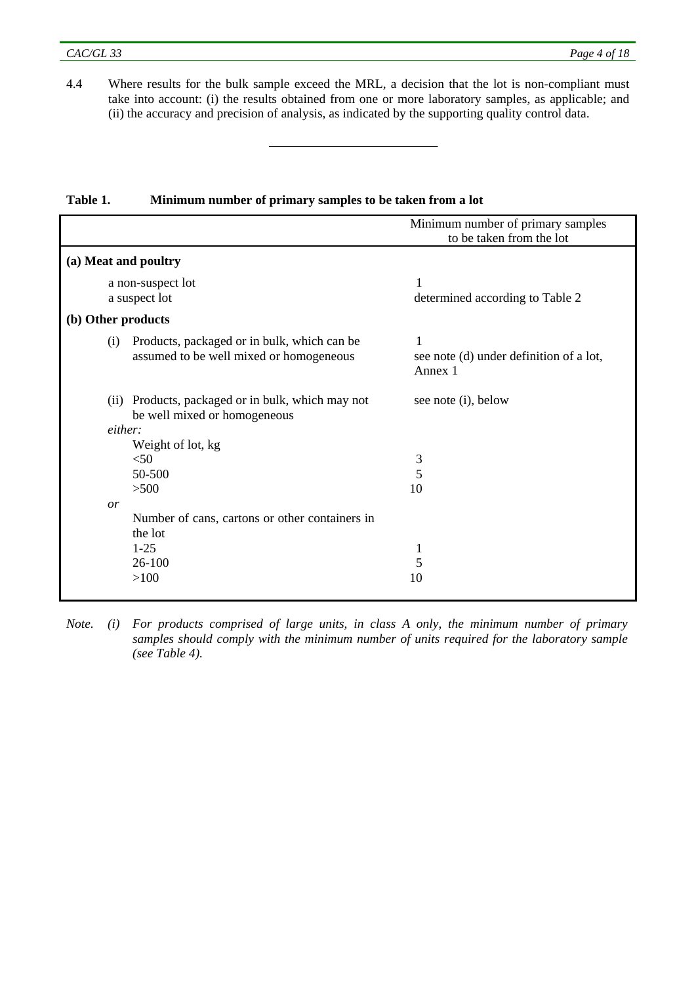4.4 Where results for the bulk sample exceed the MRL, a decision that the lot is non-compliant must take into account: (i) the results obtained from one or more laboratory samples, as applicable; and (ii) the accuracy and precision of analysis, as indicated by the supporting quality control data.

|                                                    | Minimum number of primary samples                  |
|----------------------------------------------------|----------------------------------------------------|
|                                                    | to be taken from the lot                           |
| (a) Meat and poultry                               |                                                    |
| a non-suspect lot                                  | 1                                                  |
| a suspect lot                                      | determined according to Table 2                    |
| (b) Other products                                 |                                                    |
| Products, packaged or in bulk, which can be<br>(i) | 1                                                  |
| assumed to be well mixed or homogeneous            | see note (d) under definition of a lot,<br>Annex 1 |
| (ii) Products, packaged or in bulk, which may not  | see note (i), below                                |
| be well mixed or homogeneous                       |                                                    |
| either:                                            |                                                    |
| Weight of lot, kg                                  |                                                    |
| $<$ 50                                             | 3                                                  |
| 50-500                                             | 5                                                  |
| >500                                               | 10                                                 |
| or                                                 |                                                    |
| Number of cans, cartons or other containers in     |                                                    |
| the lot                                            |                                                    |
| $1 - 25$                                           | 1                                                  |
| $26 - 100$                                         | 5                                                  |
| >100                                               | 10                                                 |
|                                                    |                                                    |

# **Table 1. Minimum number of primary samples to be taken from a lot**

*Note. (i) For products comprised of large units, in class A only, the minimum number of primary samples should comply with the minimum number of units required for the laboratory sample (see Table 4).*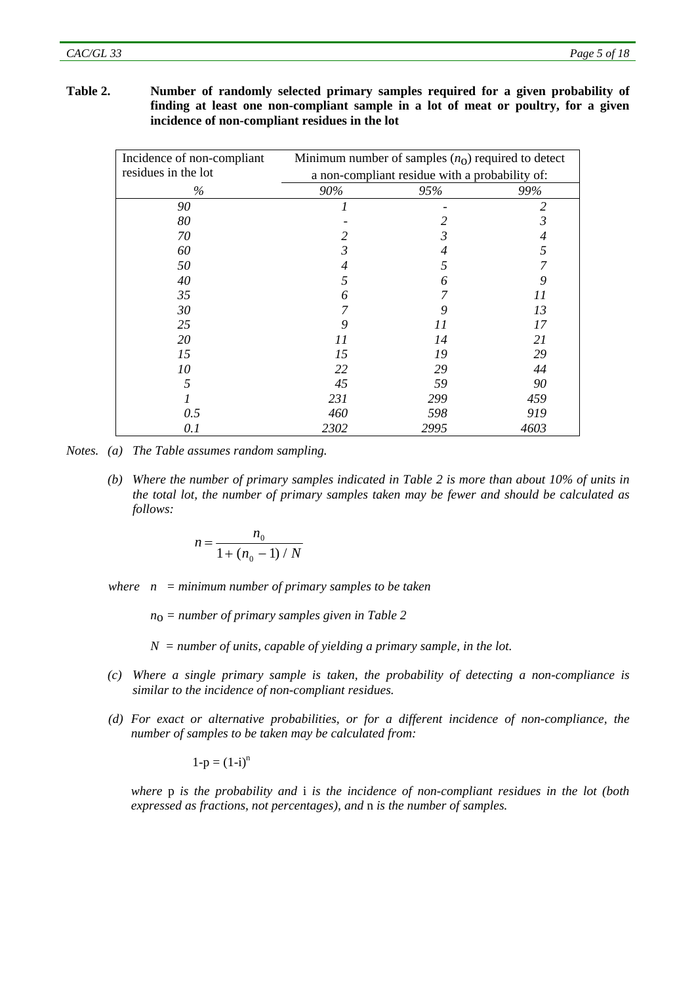# **Table 2. Number of randomly selected primary samples required for a given probability of finding at least one non-compliant sample in a lot of meat or poultry, for a given incidence of non-compliant residues in the lot**

| Incidence of non-compliant | Minimum number of samples $(n_0)$ required to detect |      |      |  |
|----------------------------|------------------------------------------------------|------|------|--|
| residues in the lot        | a non-compliant residue with a probability of:       |      |      |  |
| $\%$                       | 90%                                                  | 95%  | 99%  |  |
| 90                         |                                                      |      | 2    |  |
| 80                         |                                                      |      | 3    |  |
| 70                         |                                                      | 3    | 4    |  |
| 60                         | 3                                                    | 4    | 5    |  |
| 50                         | 4                                                    | 5    |      |  |
| 40                         | 5                                                    | 6    | 9    |  |
| 35                         | 6                                                    |      | 11   |  |
| 30                         |                                                      |      | 13   |  |
| 25                         | 9                                                    | 11   | 17   |  |
| 20                         | 11                                                   | 14   | 21   |  |
| 15                         | 15                                                   | 19   | 29   |  |
| 10                         | 22                                                   | 29   | 44   |  |
| 5                          | 45                                                   | 59   | 90   |  |
|                            | 231                                                  | 299  | 459  |  |
| 0.5                        | 460                                                  | 598  | 919  |  |
| 0.1                        | 2302                                                 | 2995 | 4603 |  |

*Notes. (a) The Table assumes random sampling.* 

 *(b) Where the number of primary samples indicated in Table 2 is more than about 10% of units in the total lot, the number of primary samples taken may be fewer and should be calculated as follows:* 

$$
n = \frac{n_0}{1 + (n_0 - 1) / N}
$$

*where n = minimum number of primary samples to be taken* 

 *n*o *= number of primary samples given in Table 2* 

 $N =$  *number of units, capable of yielding a primary sample, in the lot.* 

- *(c) Where a single primary sample is taken, the probability of detecting a non-compliance is similar to the incidence of non-compliant residues.*
- *(d) For exact or alternative probabilities, or for a different incidence of non-compliance, the number of samples to be taken may be calculated from:*

$$
1-p=(1-i)^n
$$

*where* p *is the probability and* i *is the incidence of non-compliant residues in the lot (both expressed as fractions, not percentages), and* n *is the number of samples.*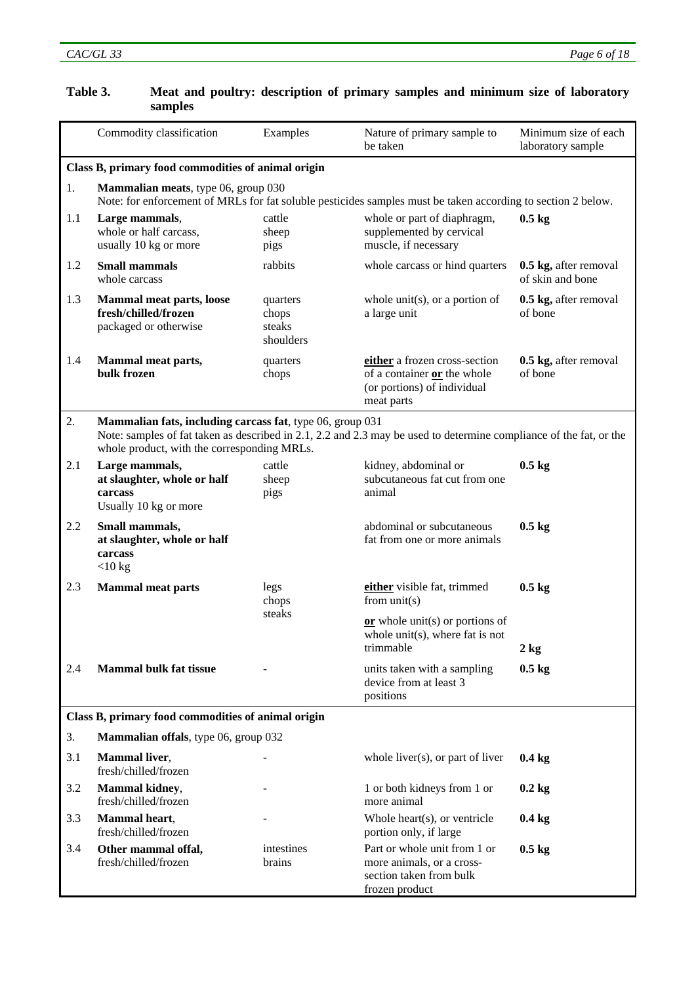|     | Commodity classification                                                                                                                                                                                                       | Examples                                 | Nature of primary sample to<br>be taken                                                                   | Minimum size of each<br>laboratory sample |  |  |
|-----|--------------------------------------------------------------------------------------------------------------------------------------------------------------------------------------------------------------------------------|------------------------------------------|-----------------------------------------------------------------------------------------------------------|-------------------------------------------|--|--|
|     | Class B, primary food commodities of animal origin                                                                                                                                                                             |                                          |                                                                                                           |                                           |  |  |
| 1.  | Mammalian meats, type 06, group 030<br>Note: for enforcement of MRLs for fat soluble pesticides samples must be taken according to section 2 below.                                                                            |                                          |                                                                                                           |                                           |  |  |
| 1.1 | Large mammals,<br>whole or half carcass.<br>usually 10 kg or more                                                                                                                                                              | cattle<br>sheep<br>pigs                  | whole or part of diaphragm,<br>supplemented by cervical<br>muscle, if necessary                           | $0.5 \text{ kg}$                          |  |  |
| 1.2 | <b>Small mammals</b><br>whole carcass                                                                                                                                                                                          | rabbits                                  | whole carcass or hind quarters                                                                            | 0.5 kg, after removal<br>of skin and bone |  |  |
| 1.3 | <b>Mammal meat parts, loose</b><br>fresh/chilled/frozen<br>packaged or otherwise                                                                                                                                               | quarters<br>chops<br>steaks<br>shoulders | whole unit(s), or a portion of<br>a large unit                                                            | 0.5 kg, after removal<br>of bone          |  |  |
| 1.4 | Mammal meat parts,<br>bulk frozen                                                                                                                                                                                              | quarters<br>chops                        | either a frozen cross-section<br>of a container or the whole<br>(or portions) of individual<br>meat parts | 0.5 kg, after removal<br>of bone          |  |  |
| 2.  | Mammalian fats, including carcass fat, type 06, group 031<br>Note: samples of fat taken as described in 2.1, 2.2 and 2.3 may be used to determine compliance of the fat, or the<br>whole product, with the corresponding MRLs. |                                          |                                                                                                           |                                           |  |  |
| 2.1 | Large mammals,<br>at slaughter, whole or half<br>carcass<br>Usually 10 kg or more                                                                                                                                              | cattle<br>sheep<br>pigs                  | kidney, abdominal or<br>subcutaneous fat cut from one<br>animal                                           | $0.5$ kg                                  |  |  |
| 2.2 | Small mammals,<br>at slaughter, whole or half<br>carcass<br>$<$ 10 kg                                                                                                                                                          |                                          | abdominal or subcutaneous<br>fat from one or more animals                                                 | $0.5$ kg                                  |  |  |
| 2.3 | <b>Mammal meat parts</b>                                                                                                                                                                                                       | legs<br>chops                            | either visible fat, trimmed<br>from $unit(s)$                                                             | $0.5 \text{ kg}$                          |  |  |
|     |                                                                                                                                                                                                                                | steaks                                   | $or$ whole unit(s) or portions of<br>whole unit(s), where fat is not<br>trimmable                         | $2$ kg                                    |  |  |
| 2.4 | <b>Mammal bulk fat tissue</b>                                                                                                                                                                                                  |                                          | units taken with a sampling<br>device from at least 3<br>positions                                        | $0.5$ kg                                  |  |  |
|     | Class B, primary food commodities of animal origin                                                                                                                                                                             |                                          |                                                                                                           |                                           |  |  |
| 3.  | Mammalian offals, type 06, group 032                                                                                                                                                                                           |                                          |                                                                                                           |                                           |  |  |
| 3.1 | <b>Mammal</b> liver,<br>fresh/chilled/frozen                                                                                                                                                                                   |                                          | whole liver(s), or part of liver                                                                          | $0.4$ kg                                  |  |  |
| 3.2 | Mammal kidney,<br>fresh/chilled/frozen                                                                                                                                                                                         |                                          | 1 or both kidneys from 1 or<br>more animal                                                                | $0.2$ kg                                  |  |  |
| 3.3 | Mammal heart,<br>fresh/chilled/frozen                                                                                                                                                                                          |                                          | Whole heart(s), or ventricle<br>portion only, if large                                                    | $0.4 \text{ kg}$                          |  |  |
| 3.4 | Other mammal offal,<br>fresh/chilled/frozen                                                                                                                                                                                    | intestines<br>brains                     | Part or whole unit from 1 or<br>more animals, or a cross-<br>section taken from bulk<br>frozen product    | $0.5$ kg                                  |  |  |

# **Table 3. Meat and poultry: description of primary samples and minimum size of laboratory samples**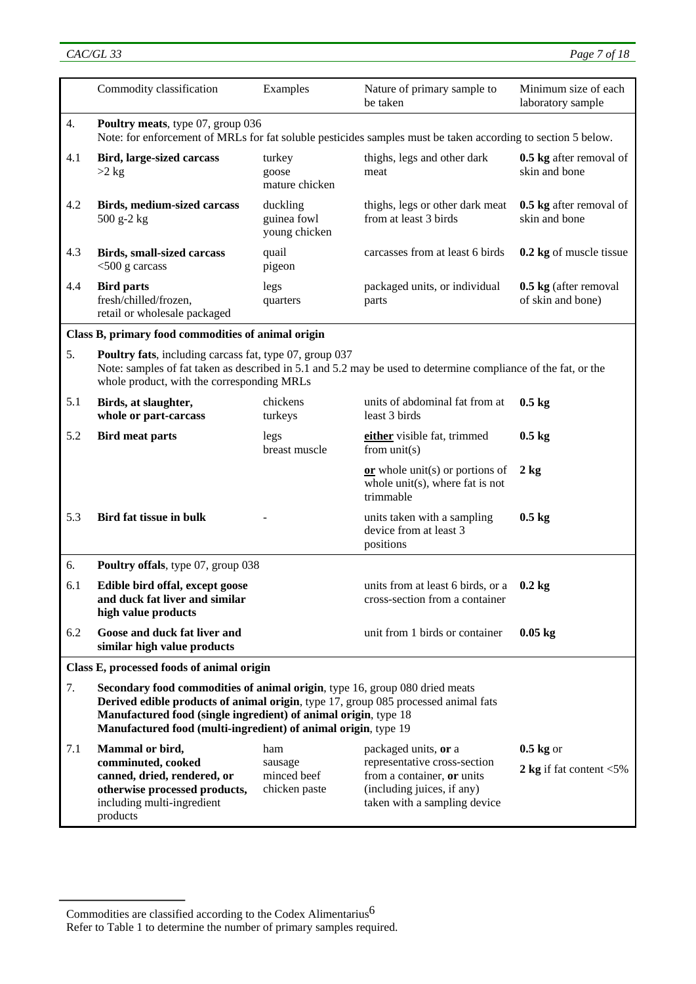|     | Commodity classification                                                                                                                                                                                                                                                                               | Examples                                       | Nature of primary sample to<br>be taken                                                                                                          | Minimum size of each<br>laboratory sample  |
|-----|--------------------------------------------------------------------------------------------------------------------------------------------------------------------------------------------------------------------------------------------------------------------------------------------------------|------------------------------------------------|--------------------------------------------------------------------------------------------------------------------------------------------------|--------------------------------------------|
| 4.  | Poultry meats, type 07, group 036<br>Note: for enforcement of MRLs for fat soluble pesticides samples must be taken according to section 5 below.                                                                                                                                                      |                                                |                                                                                                                                                  |                                            |
| 4.1 | <b>Bird, large-sized carcass</b><br>$>2$ kg                                                                                                                                                                                                                                                            | turkey<br>goose<br>mature chicken              | thighs, legs and other dark<br>meat                                                                                                              | 0.5 kg after removal of<br>skin and bone   |
| 4.2 | <b>Birds, medium-sized carcass</b><br>500 g-2 kg                                                                                                                                                                                                                                                       | duckling<br>guinea fowl<br>young chicken       | thighs, legs or other dark meat<br>from at least 3 birds                                                                                         | 0.5 kg after removal of<br>skin and bone   |
| 4.3 | <b>Birds, small-sized carcass</b><br>$<$ 500 g carcass                                                                                                                                                                                                                                                 | quail<br>pigeon                                | carcasses from at least 6 birds                                                                                                                  | 0.2 kg of muscle tissue                    |
| 4.4 | <b>Bird parts</b><br>fresh/chilled/frozen,<br>retail or wholesale packaged                                                                                                                                                                                                                             | legs<br>quarters                               | packaged units, or individual<br>parts                                                                                                           | 0.5 kg (after removal<br>of skin and bone) |
|     | Class B, primary food commodities of animal origin                                                                                                                                                                                                                                                     |                                                |                                                                                                                                                  |                                            |
| 5.  | Poultry fats, including carcass fat, type 07, group 037<br>Note: samples of fat taken as described in 5.1 and 5.2 may be used to determine compliance of the fat, or the<br>whole product, with the corresponding MRLs                                                                                 |                                                |                                                                                                                                                  |                                            |
| 5.1 | Birds, at slaughter,<br>whole or part-carcass                                                                                                                                                                                                                                                          | chickens<br>turkeys                            | units of abdominal fat from at<br>least 3 birds                                                                                                  | $0.5 \text{ kg}$                           |
| 5.2 | <b>Bird meat parts</b>                                                                                                                                                                                                                                                                                 | legs<br>breast muscle                          | either visible fat, trimmed<br>from $unit(s)$                                                                                                    | $0.5 \text{ kg}$                           |
|     |                                                                                                                                                                                                                                                                                                        |                                                | or whole unit(s) or portions of<br>whole unit(s), where fat is not<br>trimmable                                                                  | $2 \text{ kg}$                             |
| 5.3 | <b>Bird fat tissue in bulk</b>                                                                                                                                                                                                                                                                         |                                                | units taken with a sampling<br>device from at least 3<br>positions                                                                               | $0.5$ kg                                   |
| 6.  | Poultry offals, type 07, group 038                                                                                                                                                                                                                                                                     |                                                |                                                                                                                                                  |                                            |
| 6.1 | Edible bird offal, except goose<br>and duck fat liver and similar<br>high value products                                                                                                                                                                                                               |                                                | units from at least 6 birds, or a<br>cross-section from a container                                                                              | $0.2$ kg                                   |
| 6.2 | Goose and duck fat liver and<br>similar high value products                                                                                                                                                                                                                                            |                                                | unit from 1 birds or container                                                                                                                   | $0.05$ kg                                  |
|     | Class E, processed foods of animal origin                                                                                                                                                                                                                                                              |                                                |                                                                                                                                                  |                                            |
| 7.  | Secondary food commodities of animal origin, type 16, group 080 dried meats<br>Derived edible products of animal origin, type 17, group 085 processed animal fats<br>Manufactured food (single ingredient) of animal origin, type 18<br>Manufactured food (multi-ingredient) of animal origin, type 19 |                                                |                                                                                                                                                  |                                            |
| 7.1 | Mammal or bird,<br>comminuted, cooked<br>canned, dried, rendered, or<br>otherwise processed products,<br>including multi-ingredient<br>products                                                                                                                                                        | ham<br>sausage<br>minced beef<br>chicken paste | packaged units, or a<br>representative cross-section<br>from a container, or units<br>(including juices, if any)<br>taken with a sampling device | $0.5$ kg or<br>2 kg if fat content $<$ 5%  |

Commodities are classified according to the Codex Alimentarius6

Refer to Table 1 to determine the number of primary samples required.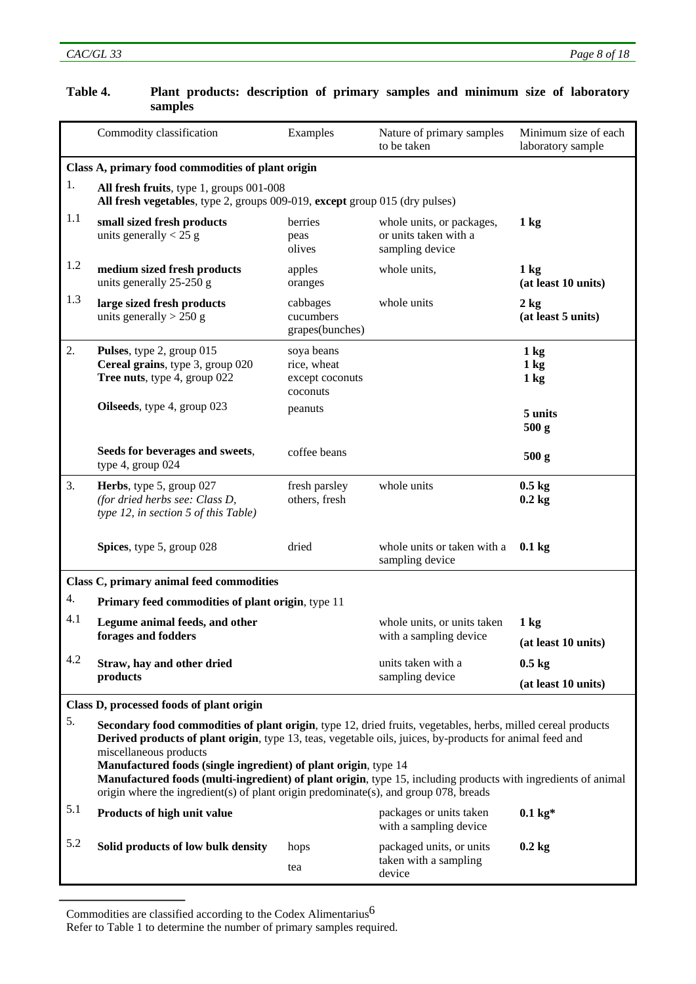|     | Commodity classification                                                                                                                                                                                                                                                                                                                                                                                                                                                                                                       | Examples                                                 | Nature of primary samples<br>to be taken                              | Minimum size of each<br>laboratory sample          |  |
|-----|--------------------------------------------------------------------------------------------------------------------------------------------------------------------------------------------------------------------------------------------------------------------------------------------------------------------------------------------------------------------------------------------------------------------------------------------------------------------------------------------------------------------------------|----------------------------------------------------------|-----------------------------------------------------------------------|----------------------------------------------------|--|
|     | Class A, primary food commodities of plant origin                                                                                                                                                                                                                                                                                                                                                                                                                                                                              |                                                          |                                                                       |                                                    |  |
| 1.  | All fresh fruits, type 1, groups 001-008<br>All fresh vegetables, type 2, groups 009-019, except group 015 (dry pulses)                                                                                                                                                                                                                                                                                                                                                                                                        |                                                          |                                                                       |                                                    |  |
| 1.1 | small sized fresh products<br>units generally $< 25$ g                                                                                                                                                                                                                                                                                                                                                                                                                                                                         | berries<br>peas<br>olives                                | whole units, or packages,<br>or units taken with a<br>sampling device | 1 <sub>kg</sub>                                    |  |
| 1.2 | medium sized fresh products<br>units generally 25-250 g                                                                                                                                                                                                                                                                                                                                                                                                                                                                        | apples<br>oranges                                        | whole units,                                                          | $1 \text{ kg}$<br>(at least 10 units)              |  |
| 1.3 | large sized fresh products<br>units generally $> 250$ g                                                                                                                                                                                                                                                                                                                                                                                                                                                                        | cabbages<br>cucumbers<br>grapes(bunches)                 | whole units                                                           | $2$ kg<br>(at least 5 units)                       |  |
| 2.  | Pulses, type 2, group 015<br>Cereal grains, type 3, group 020<br>Tree nuts, type 4, group 022                                                                                                                                                                                                                                                                                                                                                                                                                                  | soya beans<br>rice, wheat<br>except coconuts<br>coconuts |                                                                       | $1 \text{ kg}$<br>$1 \text{ kg}$<br>$1 \text{ kg}$ |  |
|     | Oilseeds, type 4, group 023                                                                                                                                                                                                                                                                                                                                                                                                                                                                                                    | peanuts                                                  |                                                                       | 5 units<br>500 <sub>g</sub>                        |  |
|     | Seeds for beverages and sweets,<br>type 4, group 024                                                                                                                                                                                                                                                                                                                                                                                                                                                                           | coffee beans                                             |                                                                       | 500 <sub>g</sub>                                   |  |
| 3.  | Herbs, type 5, group 027<br>(for dried herbs see: Class D,<br>type 12, in section 5 of this Table)                                                                                                                                                                                                                                                                                                                                                                                                                             | fresh parsley<br>others, fresh                           | whole units                                                           | $0.5 \text{ kg}$<br>$0.2$ kg                       |  |
|     | Spices, type 5, group 028                                                                                                                                                                                                                                                                                                                                                                                                                                                                                                      | dried                                                    | whole units or taken with a<br>sampling device                        | $0.1$ kg                                           |  |
|     | Class C, primary animal feed commodities                                                                                                                                                                                                                                                                                                                                                                                                                                                                                       |                                                          |                                                                       |                                                    |  |
| 4.  | Primary feed commodities of plant origin, type 11                                                                                                                                                                                                                                                                                                                                                                                                                                                                              |                                                          |                                                                       |                                                    |  |
| 4.1 | Legume animal feeds, and other                                                                                                                                                                                                                                                                                                                                                                                                                                                                                                 |                                                          | whole units, or units taken<br>with a sampling device                 | $1$ kg                                             |  |
|     | forages and fodders                                                                                                                                                                                                                                                                                                                                                                                                                                                                                                            |                                                          |                                                                       | (at least 10 units)                                |  |
| 4.2 | Straw, hay and other dried                                                                                                                                                                                                                                                                                                                                                                                                                                                                                                     |                                                          | units taken with a                                                    | $0.5 \text{ kg}$                                   |  |
|     | products                                                                                                                                                                                                                                                                                                                                                                                                                                                                                                                       |                                                          | sampling device                                                       | (at least 10 units)                                |  |
|     | Class D, processed foods of plant origin                                                                                                                                                                                                                                                                                                                                                                                                                                                                                       |                                                          |                                                                       |                                                    |  |
| 5.  | Secondary food commodities of plant origin, type 12, dried fruits, vegetables, herbs, milled cereal products<br>Derived products of plant origin, type 13, teas, vegetable oils, juices, by-products for animal feed and<br>miscellaneous products<br>Manufactured foods (single ingredient) of plant origin, type 14<br>Manufactured foods (multi-ingredient) of plant origin, type 15, including products with ingredients of animal<br>origin where the ingredient(s) of plant origin predominate(s), and group 078, breads |                                                          |                                                                       |                                                    |  |
| 5.1 | Products of high unit value                                                                                                                                                                                                                                                                                                                                                                                                                                                                                                    |                                                          | packages or units taken<br>with a sampling device                     | $0.1 \text{ kg}$ *                                 |  |
| 5.2 | Solid products of low bulk density                                                                                                                                                                                                                                                                                                                                                                                                                                                                                             | hops<br>tea                                              | packaged units, or units<br>taken with a sampling<br>device           | $0.2$ kg                                           |  |

# **Table 4. Plant products: description of primary samples and minimum size of laboratory samples**

Commodities are classified according to the Codex Alimentarius6

Refer to Table 1 to determine the number of primary samples required.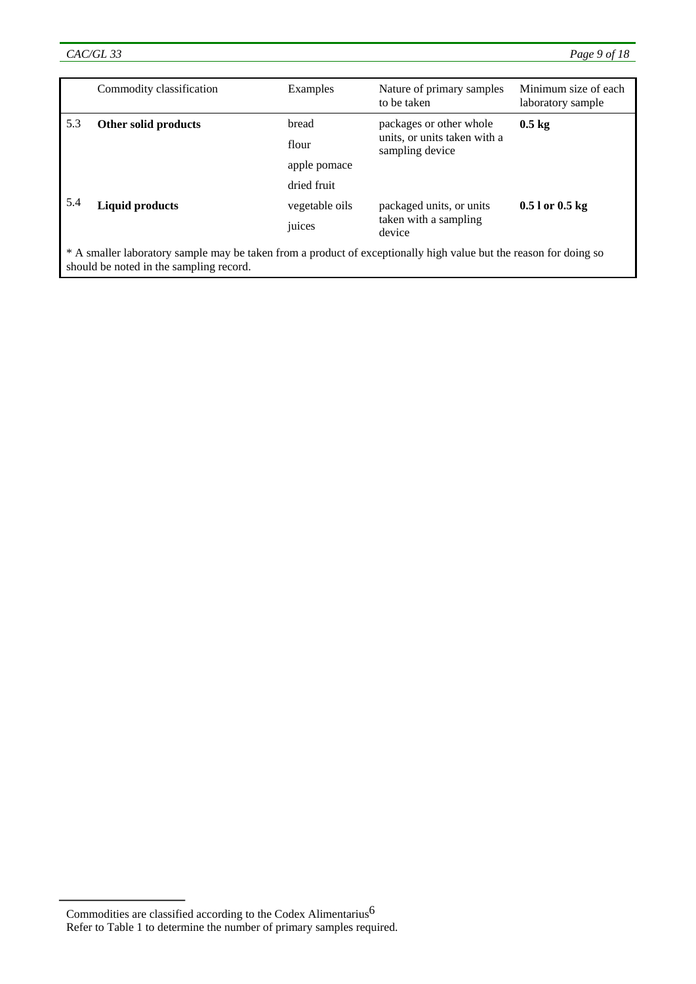|                                                                                                                                                              | Commodity classification                                                                                          | Examples     | Nature of primary samples<br>to be taken                                   | Minimum size of each<br>laboratory sample |
|--------------------------------------------------------------------------------------------------------------------------------------------------------------|-------------------------------------------------------------------------------------------------------------------|--------------|----------------------------------------------------------------------------|-------------------------------------------|
| 5.3                                                                                                                                                          | Other solid products                                                                                              | bread        | packages or other whole<br>units, or units taken with a<br>sampling device | $0.5 \text{ kg}$                          |
|                                                                                                                                                              |                                                                                                                   | flour        |                                                                            |                                           |
|                                                                                                                                                              |                                                                                                                   | apple pomace |                                                                            |                                           |
|                                                                                                                                                              |                                                                                                                   | dried fruit  |                                                                            |                                           |
| 5.4                                                                                                                                                          | <b>Liquid products</b><br>packaged units, or units<br>vegetable oils<br>taken with a sampling<br>juices<br>device |              | $0.51$ or $0.5$ kg                                                         |                                           |
|                                                                                                                                                              |                                                                                                                   |              |                                                                            |                                           |
| * A smaller laboratory sample may be taken from a product of exceptionally high value but the reason for doing so<br>should be noted in the sampling record. |                                                                                                                   |              |                                                                            |                                           |

Commodities are classified according to the Codex Alimentarius  $\rm 6$ Refer to Table 1 to determine the number of primary samples required.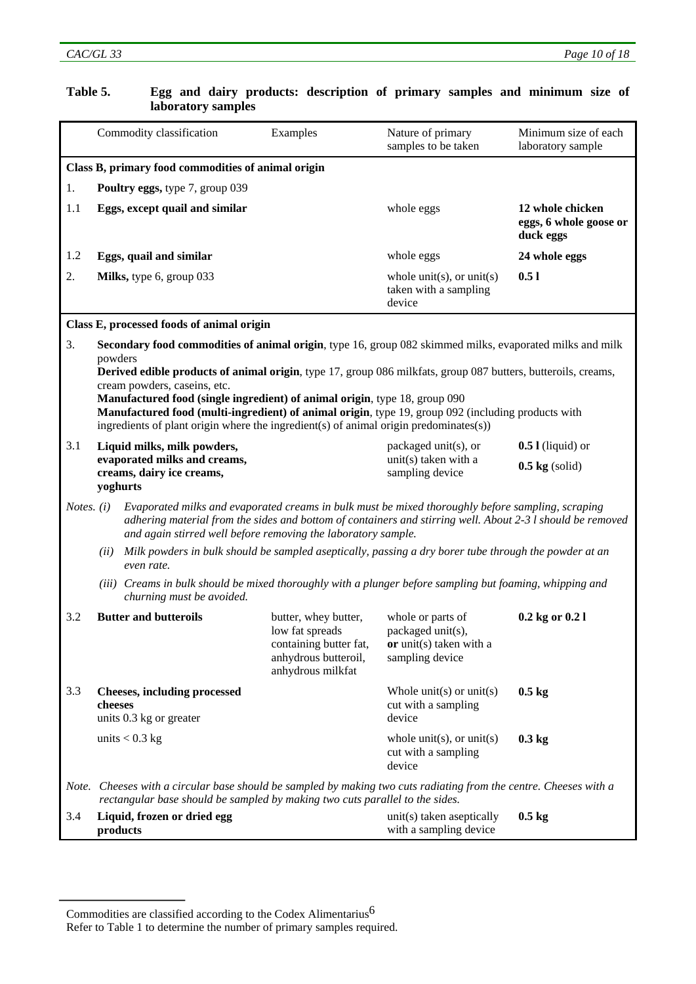| Table 5.            |                                                                                                      | laboratory samples                                                                                                                                                                                                                                                                                                                                                                                                                                                                                                                     |                                                                                                                | Egg and dairy products: description of primary samples and minimum size of           |                                                         |
|---------------------|------------------------------------------------------------------------------------------------------|----------------------------------------------------------------------------------------------------------------------------------------------------------------------------------------------------------------------------------------------------------------------------------------------------------------------------------------------------------------------------------------------------------------------------------------------------------------------------------------------------------------------------------------|----------------------------------------------------------------------------------------------------------------|--------------------------------------------------------------------------------------|---------------------------------------------------------|
|                     |                                                                                                      | Commodity classification                                                                                                                                                                                                                                                                                                                                                                                                                                                                                                               | Examples                                                                                                       | Nature of primary<br>samples to be taken                                             | Minimum size of each<br>laboratory sample               |
|                     |                                                                                                      | Class B, primary food commodities of animal origin                                                                                                                                                                                                                                                                                                                                                                                                                                                                                     |                                                                                                                |                                                                                      |                                                         |
| 1.                  |                                                                                                      | Poultry eggs, type 7, group 039                                                                                                                                                                                                                                                                                                                                                                                                                                                                                                        |                                                                                                                |                                                                                      |                                                         |
| 1.1                 |                                                                                                      | Eggs, except quail and similar                                                                                                                                                                                                                                                                                                                                                                                                                                                                                                         |                                                                                                                | whole eggs                                                                           | 12 whole chicken<br>eggs, 6 whole goose or<br>duck eggs |
| 1.2                 |                                                                                                      | Eggs, quail and similar                                                                                                                                                                                                                                                                                                                                                                                                                                                                                                                |                                                                                                                | whole eggs                                                                           | 24 whole eggs                                           |
| 2.                  |                                                                                                      | Milks, type 6, group 033                                                                                                                                                                                                                                                                                                                                                                                                                                                                                                               |                                                                                                                | whole unit(s), or unit(s)<br>taken with a sampling<br>device                         | 0.51                                                    |
|                     |                                                                                                      | Class E, processed foods of animal origin                                                                                                                                                                                                                                                                                                                                                                                                                                                                                              |                                                                                                                |                                                                                      |                                                         |
| 3.                  | powders                                                                                              | Secondary food commodities of animal origin, type 16, group 082 skimmed milks, evaporated milks and milk<br>Derived edible products of animal origin, type 17, group 086 milkfats, group 087 butters, butteroils, creams,<br>cream powders, caseins, etc.<br>Manufactured food (single ingredient) of animal origin, type 18, group 090<br>Manufactured food (multi-ingredient) of animal origin, type 19, group 092 (including products with<br>ingredients of plant origin where the ingredient(s) of animal origin predominates(s)) |                                                                                                                |                                                                                      |                                                         |
| 3.1                 | Liquid milks, milk powders,<br>evaporated milks and creams,<br>creams, dairy ice creams,<br>yoghurts |                                                                                                                                                                                                                                                                                                                                                                                                                                                                                                                                        | packaged unit(s), or                                                                                           | $0.5$ I (liquid) or                                                                  |                                                         |
|                     |                                                                                                      |                                                                                                                                                                                                                                                                                                                                                                                                                                                                                                                                        |                                                                                                                | unit(s) taken with a<br>sampling device                                              | $0.5$ kg (solid)                                        |
| <i>Notes.</i> $(i)$ |                                                                                                      | Evaporated milks and evaporated creams in bulk must be mixed thoroughly before sampling, scraping<br>adhering material from the sides and bottom of containers and stirring well. About 2-3 l should be removed<br>and again stirred well before removing the laboratory sample.                                                                                                                                                                                                                                                       |                                                                                                                |                                                                                      |                                                         |
|                     | (ii)                                                                                                 | Milk powders in bulk should be sampled aseptically, passing a dry borer tube through the powder at an<br>even rate.                                                                                                                                                                                                                                                                                                                                                                                                                    |                                                                                                                |                                                                                      |                                                         |
|                     |                                                                                                      | (iii) Creams in bulk should be mixed thoroughly with a plunger before sampling but foaming, whipping and<br>churning must be avoided.                                                                                                                                                                                                                                                                                                                                                                                                  |                                                                                                                |                                                                                      |                                                         |
| 3.2                 |                                                                                                      | <b>Butter and butteroils</b>                                                                                                                                                                                                                                                                                                                                                                                                                                                                                                           | butter, whey butter,<br>low fat spreads<br>containing butter fat,<br>anhydrous butteroil,<br>anhydrous milkfat | whole or parts of<br>packaged unit(s),<br>or unit(s) taken with a<br>sampling device | 0.2 kg or 0.2 l                                         |
| 3.3                 | cheeses                                                                                              | <b>Cheeses, including processed</b><br>units 0.3 kg or greater                                                                                                                                                                                                                                                                                                                                                                                                                                                                         |                                                                                                                | Whole unit(s) or unit(s)<br>cut with a sampling<br>device                            | $0.5 \text{ kg}$                                        |
|                     |                                                                                                      | units $< 0.3$ kg                                                                                                                                                                                                                                                                                                                                                                                                                                                                                                                       |                                                                                                                | whole unit(s), or unit(s)<br>cut with a sampling<br>device                           | $0.3$ kg                                                |
|                     |                                                                                                      | Note. Cheeses with a circular base should be sampled by making two cuts radiating from the centre. Cheeses with a<br>rectangular base should be sampled by making two cuts parallel to the sides.                                                                                                                                                                                                                                                                                                                                      |                                                                                                                |                                                                                      |                                                         |
| 3.4                 |                                                                                                      | Liquid, frozen or dried egg<br>products                                                                                                                                                                                                                                                                                                                                                                                                                                                                                                |                                                                                                                | unit(s) taken aseptically<br>with a sampling device                                  | $0.5$ kg                                                |

# **Table 5. Egg and dairy products: description of primary samples and minimum size of**

Commodities are classified according to the Codex Alimentarius  $\rm 6$ 

Refer to Table 1 to determine the number of primary samples required.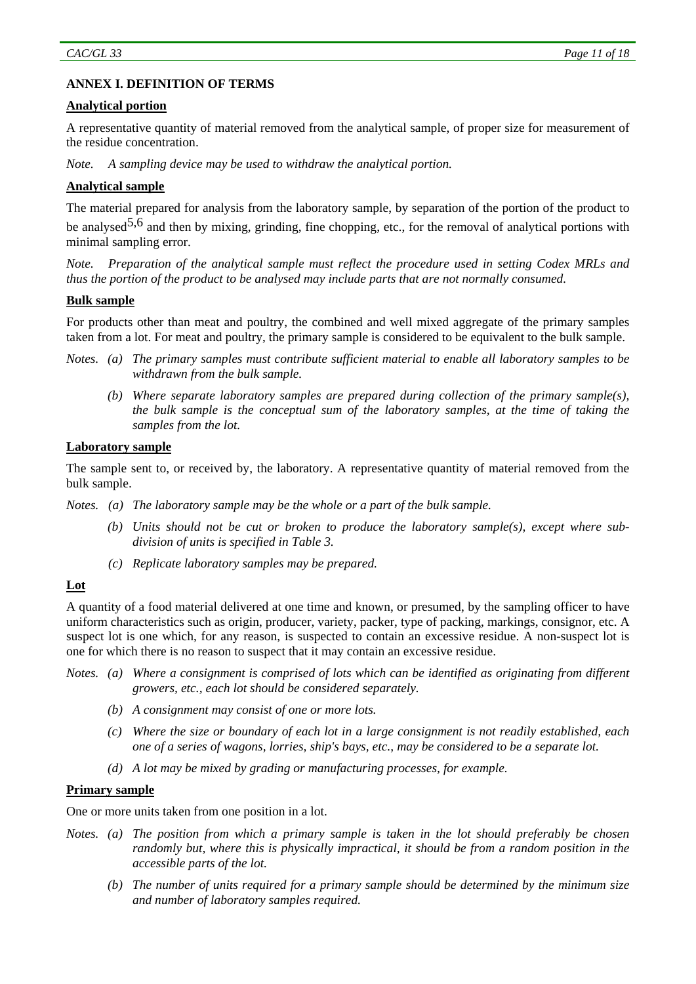# **ANNEX I. DEFINITION OF TERMS**

#### **Analytical portion**

A representative quantity of material removed from the analytical sample, of proper size for measurement of the residue concentration.

*Note. A sampling device may be used to withdraw the analytical portion.* 

#### **Analytical sample**

The material prepared for analysis from the laboratory sample, by separation of the portion of the product to be analysed<sup>5,6</sup> and then by mixing, grinding, fine chopping, etc., for the removal of analytical portions with minimal sampling error.

*Note. Preparation of the analytical sample must reflect the procedure used in setting Codex MRLs and thus the portion of the product to be analysed may include parts that are not normally consumed.* 

# **Bulk sample**

For products other than meat and poultry, the combined and well mixed aggregate of the primary samples taken from a lot. For meat and poultry, the primary sample is considered to be equivalent to the bulk sample.

- *Notes. (a) The primary samples must contribute sufficient material to enable all laboratory samples to be withdrawn from the bulk sample.* 
	- *(b) Where separate laboratory samples are prepared during collection of the primary sample(s), the bulk sample is the conceptual sum of the laboratory samples, at the time of taking the samples from the lot.*

#### **Laboratory sample**

The sample sent to, or received by, the laboratory. A representative quantity of material removed from the bulk sample.

*Notes. (a) The laboratory sample may be the whole or a part of the bulk sample.* 

- *(b) Units should not be cut or broken to produce the laboratory sample(s), except where subdivision of units is specified in Table 3.*
- *(c) Replicate laboratory samples may be prepared.*

# **Lot**

A quantity of a food material delivered at one time and known, or presumed, by the sampling officer to have uniform characteristics such as origin, producer, variety, packer, type of packing, markings, consignor, etc. A suspect lot is one which, for any reason, is suspected to contain an excessive residue. A non-suspect lot is one for which there is no reason to suspect that it may contain an excessive residue.

- *Notes. (a) Where a consignment is comprised of lots which can be identified as originating from different growers, etc., each lot should be considered separately.* 
	- *(b) A consignment may consist of one or more lots.*
	- *(c) Where the size or boundary of each lot in a large consignment is not readily established, each one of a series of wagons, lorries, ship's bays, etc., may be considered to be a separate lot.*
	- *(d) A lot may be mixed by grading or manufacturing processes, for example.*

#### **Primary sample**

One or more units taken from one position in a lot.

- *Notes. (a) The position from which a primary sample is taken in the lot should preferably be chosen randomly but, where this is physically impractical, it should be from a random position in the accessible parts of the lot.* 
	- *(b) The number of units required for a primary sample should be determined by the minimum size and number of laboratory samples required.*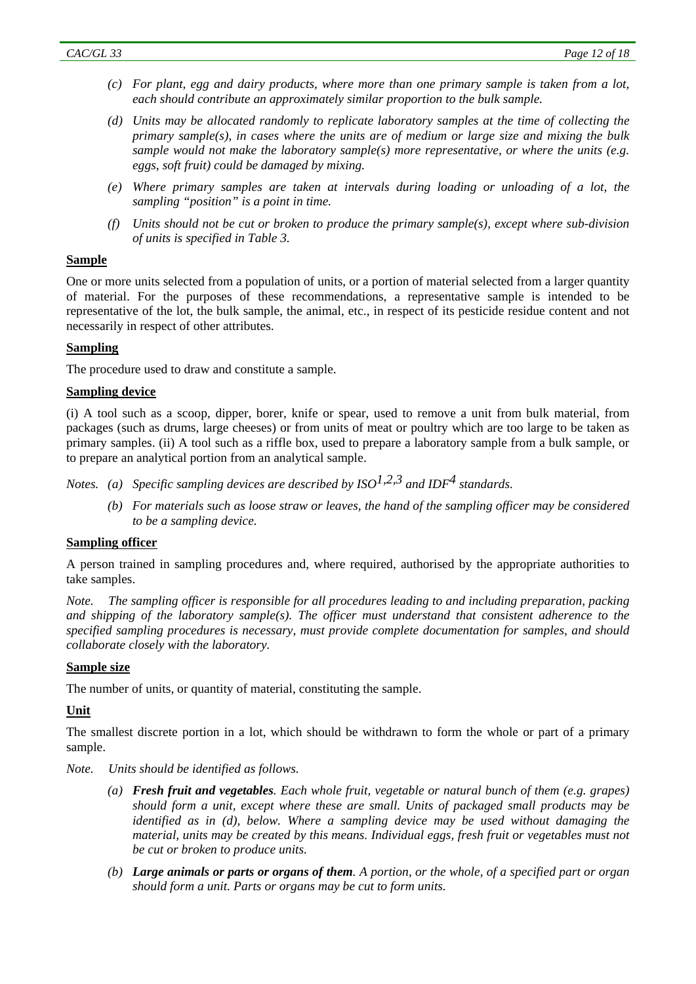- *(c) For plant, egg and dairy products, where more than one primary sample is taken from a lot, each should contribute an approximately similar proportion to the bulk sample.*
- *(d) Units may be allocated randomly to replicate laboratory samples at the time of collecting the primary sample(s), in cases where the units are of medium or large size and mixing the bulk sample would not make the laboratory sample(s) more representative, or where the units (e.g. eggs, soft fruit) could be damaged by mixing.*
- *(e) Where primary samples are taken at intervals during loading or unloading of a lot, the sampling "position" is a point in time.*
- *(f) Units should not be cut or broken to produce the primary sample(s), except where sub-division of units is specified in Table 3.*

#### **Sample**

One or more units selected from a population of units, or a portion of material selected from a larger quantity of material. For the purposes of these recommendations, a representative sample is intended to be representative of the lot, the bulk sample, the animal, etc., in respect of its pesticide residue content and not necessarily in respect of other attributes.

#### **Sampling**

The procedure used to draw and constitute a sample.

#### **Sampling device**

(i) A tool such as a scoop, dipper, borer, knife or spear, used to remove a unit from bulk material, from packages (such as drums, large cheeses) or from units of meat or poultry which are too large to be taken as primary samples. (ii) A tool such as a riffle box, used to prepare a laboratory sample from a bulk sample, or to prepare an analytical portion from an analytical sample.

*Notes.* (a) *Specific sampling devices are described by ISO*<sup>1,2,3</sup> and IDF<sup>4</sup> standards.

 *(b) For materials such as loose straw or leaves, the hand of the sampling officer may be considered to be a sampling device.* 

#### **Sampling officer**

A person trained in sampling procedures and, where required, authorised by the appropriate authorities to take samples.

*Note. The sampling officer is responsible for all procedures leading to and including preparation, packing and shipping of the laboratory sample(s). The officer must understand that consistent adherence to the specified sampling procedures is necessary, must provide complete documentation for samples, and should collaborate closely with the laboratory.* 

#### **Sample size**

The number of units, or quantity of material, constituting the sample.

# **Unit**

The smallest discrete portion in a lot, which should be withdrawn to form the whole or part of a primary sample.

- *Note. Units should be identified as follows.* 
	- *(a) Fresh fruit and vegetables. Each whole fruit, vegetable or natural bunch of them (e.g. grapes) should form a unit, except where these are small. Units of packaged small products may be identified as in (d), below. Where a sampling device may be used without damaging the material, units may be created by this means. Individual eggs, fresh fruit or vegetables must not be cut or broken to produce units.*
	- *(b) Large animals or parts or organs of them. A portion, or the whole, of a specified part or organ should form a unit. Parts or organs may be cut to form units.*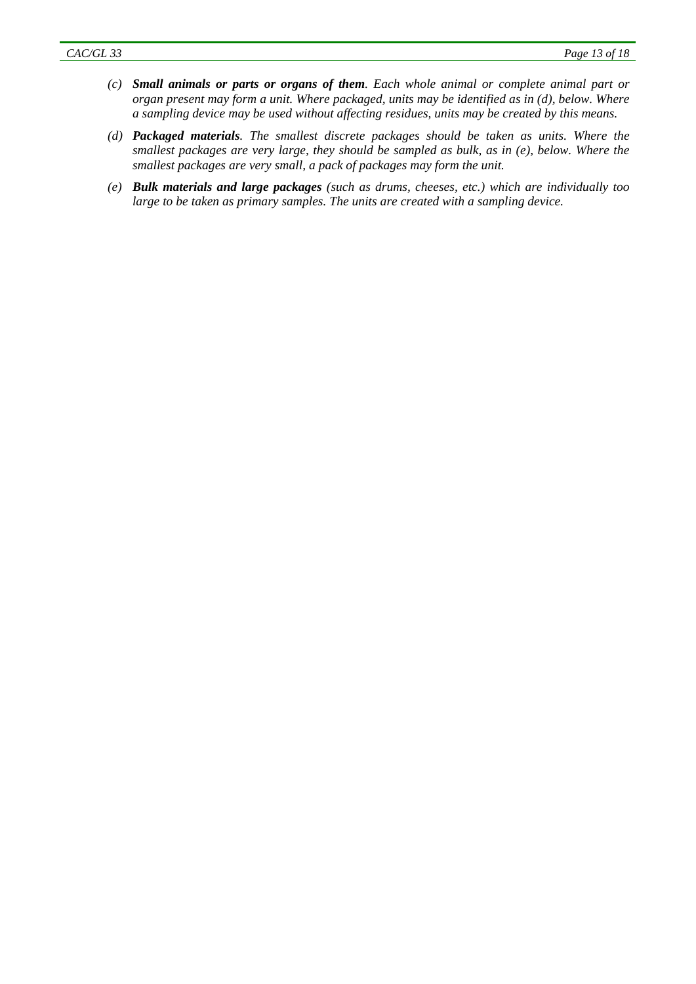- *(c) Small animals or parts or organs of them. Each whole animal or complete animal part or organ present may form a unit. Where packaged, units may be identified as in (d), below. Where a sampling device may be used without affecting residues, units may be created by this means.*
- *(d) Packaged materials. The smallest discrete packages should be taken as units. Where the smallest packages are very large, they should be sampled as bulk, as in (e), below. Where the smallest packages are very small, a pack of packages may form the unit.*
- *(e) Bulk materials and large packages (such as drums, cheeses, etc.) which are individually too large to be taken as primary samples. The units are created with a sampling device.*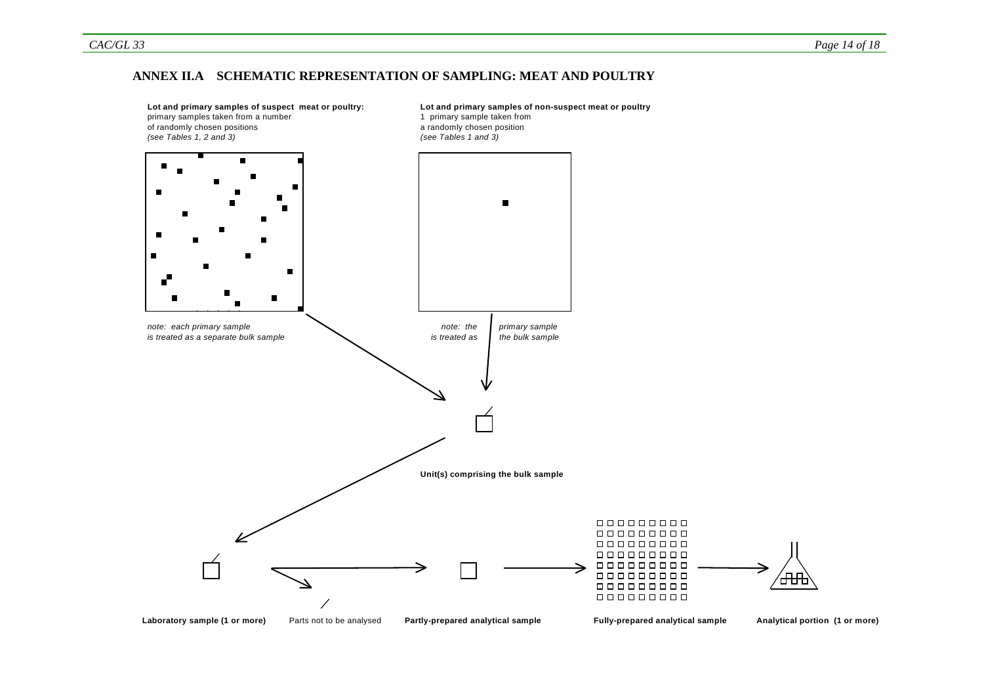#### **ANNEX II.A SCHEMATIC REPRESENTATION OF SAMPLING: MEAT AND POULTRY**

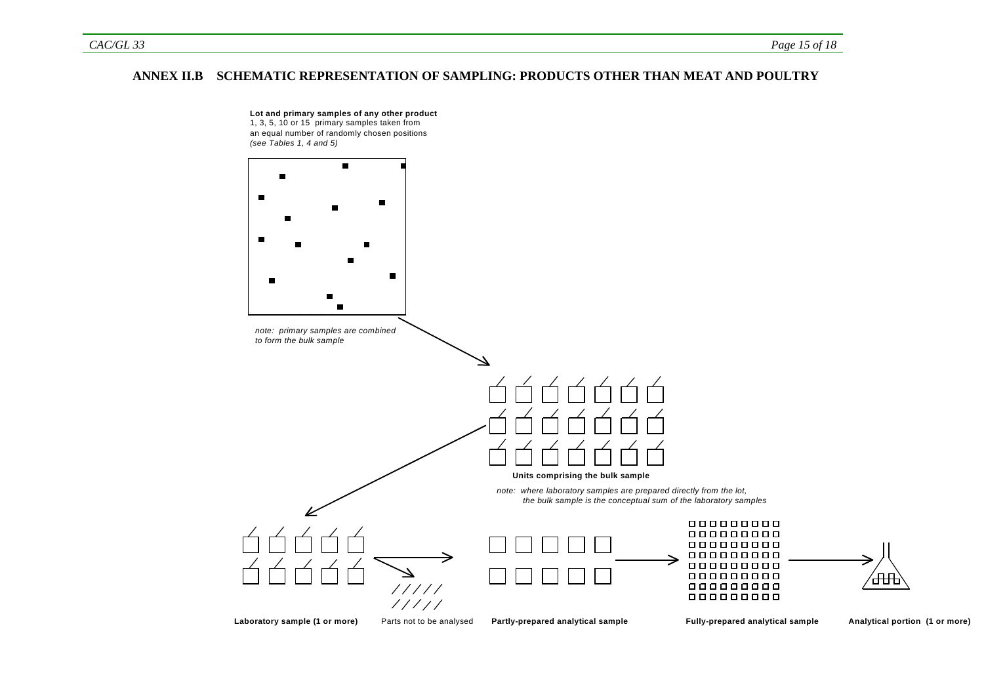#### **ANNEX II.B SCHEMATIC REPRESENTATION OF SAMPLING: PRODUCTS OTHER THAN MEAT AND POULTRY**

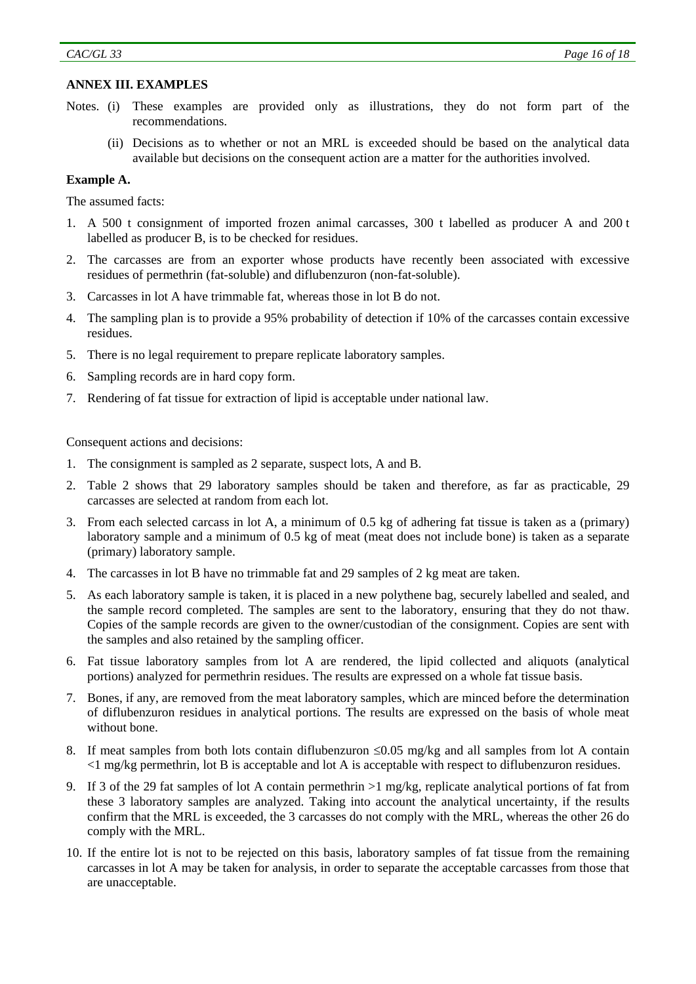#### **ANNEX III. EXAMPLES**

- Notes. (i) These examples are provided only as illustrations, they do not form part of the recommendations.
	- (ii) Decisions as to whether or not an MRL is exceeded should be based on the analytical data available but decisions on the consequent action are a matter for the authorities involved.

#### **Example A.**

The assumed facts:

- 1. A 500 t consignment of imported frozen animal carcasses, 300 t labelled as producer A and 200 t labelled as producer B, is to be checked for residues.
- 2. The carcasses are from an exporter whose products have recently been associated with excessive residues of permethrin (fat-soluble) and diflubenzuron (non-fat-soluble).
- 3. Carcasses in lot A have trimmable fat, whereas those in lot B do not.
- 4. The sampling plan is to provide a 95% probability of detection if 10% of the carcasses contain excessive residues.
- 5. There is no legal requirement to prepare replicate laboratory samples.
- 6. Sampling records are in hard copy form.
- 7. Rendering of fat tissue for extraction of lipid is acceptable under national law.

Consequent actions and decisions:

- 1. The consignment is sampled as 2 separate, suspect lots, A and B.
- 2. Table 2 shows that 29 laboratory samples should be taken and therefore, as far as practicable, 29 carcasses are selected at random from each lot.
- 3. From each selected carcass in lot A, a minimum of 0.5 kg of adhering fat tissue is taken as a (primary) laboratory sample and a minimum of 0.5 kg of meat (meat does not include bone) is taken as a separate (primary) laboratory sample.
- 4. The carcasses in lot B have no trimmable fat and 29 samples of 2 kg meat are taken.
- 5. As each laboratory sample is taken, it is placed in a new polythene bag, securely labelled and sealed, and the sample record completed. The samples are sent to the laboratory, ensuring that they do not thaw. Copies of the sample records are given to the owner/custodian of the consignment. Copies are sent with the samples and also retained by the sampling officer.
- 6. Fat tissue laboratory samples from lot A are rendered, the lipid collected and aliquots (analytical portions) analyzed for permethrin residues. The results are expressed on a whole fat tissue basis.
- 7. Bones, if any, are removed from the meat laboratory samples, which are minced before the determination of diflubenzuron residues in analytical portions. The results are expressed on the basis of whole meat without bone.
- 8. If meat samples from both lots contain diflubenzuron  $\leq 0.05$  mg/kg and all samples from lot A contain <1 mg/kg permethrin, lot B is acceptable and lot A is acceptable with respect to diflubenzuron residues.
- 9. If 3 of the 29 fat samples of lot A contain permethrin >1 mg/kg, replicate analytical portions of fat from these 3 laboratory samples are analyzed. Taking into account the analytical uncertainty, if the results confirm that the MRL is exceeded, the 3 carcasses do not comply with the MRL, whereas the other 26 do comply with the MRL.
- 10. If the entire lot is not to be rejected on this basis, laboratory samples of fat tissue from the remaining carcasses in lot A may be taken for analysis, in order to separate the acceptable carcasses from those that are unacceptable.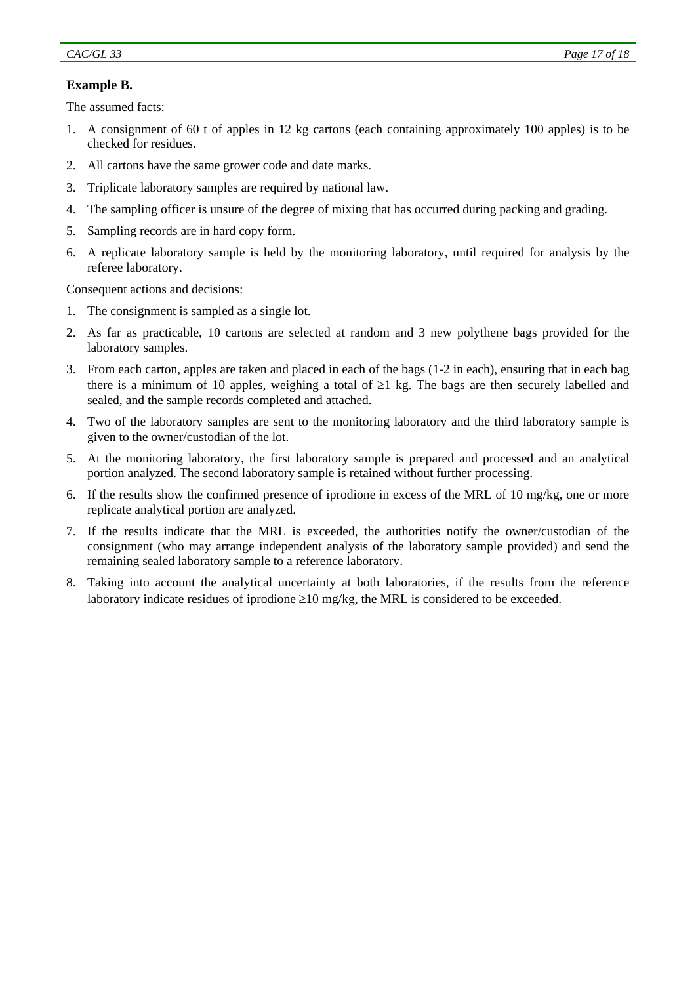# **Example B.**

The assumed facts:

- 1. A consignment of 60 t of apples in 12 kg cartons (each containing approximately 100 apples) is to be checked for residues.
- 2. All cartons have the same grower code and date marks.
- 3. Triplicate laboratory samples are required by national law.
- 4. The sampling officer is unsure of the degree of mixing that has occurred during packing and grading.
- 5. Sampling records are in hard copy form.
- 6. A replicate laboratory sample is held by the monitoring laboratory, until required for analysis by the referee laboratory.

Consequent actions and decisions:

- 1. The consignment is sampled as a single lot.
- 2. As far as practicable, 10 cartons are selected at random and 3 new polythene bags provided for the laboratory samples.
- 3. From each carton, apples are taken and placed in each of the bags (1-2 in each), ensuring that in each bag there is a minimum of 10 apples, weighing a total of  $\geq 1$  kg. The bags are then securely labelled and sealed, and the sample records completed and attached.
- 4. Two of the laboratory samples are sent to the monitoring laboratory and the third laboratory sample is given to the owner/custodian of the lot.
- 5. At the monitoring laboratory, the first laboratory sample is prepared and processed and an analytical portion analyzed. The second laboratory sample is retained without further processing.
- 6. If the results show the confirmed presence of iprodione in excess of the MRL of 10 mg/kg, one or more replicate analytical portion are analyzed.
- 7. If the results indicate that the MRL is exceeded, the authorities notify the owner/custodian of the consignment (who may arrange independent analysis of the laboratory sample provided) and send the remaining sealed laboratory sample to a reference laboratory.
- 8. Taking into account the analytical uncertainty at both laboratories, if the results from the reference laboratory indicate residues of iprodione  $\geq 10$  mg/kg, the MRL is considered to be exceeded.